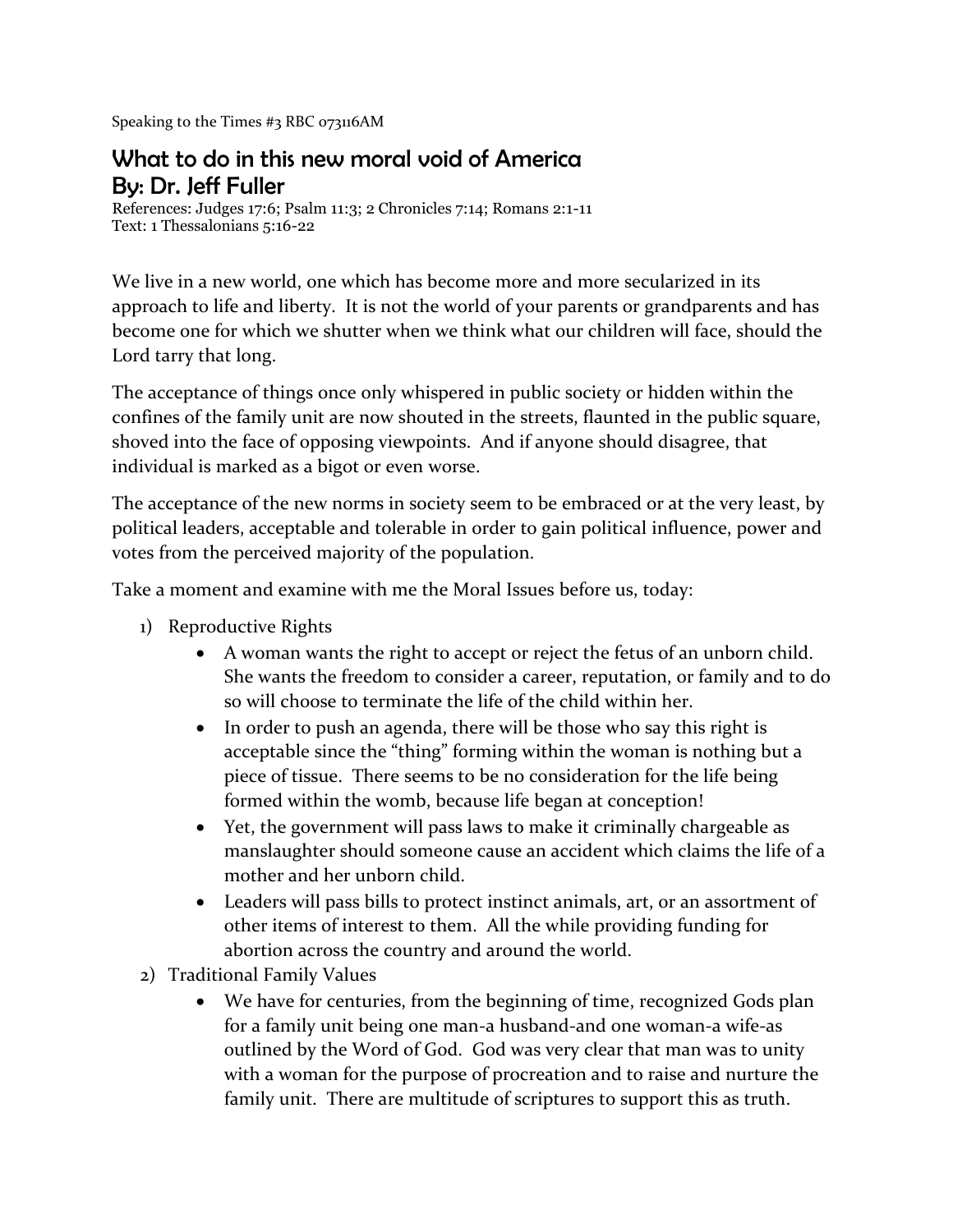Speaking to the Times #3 RBC 073116AM

## What to do in this new moral void of America By: Dr. Jeff Fuller

References: Judges 17:6; Psalm 11:3; 2 Chronicles 7:14; Romans 2:1-11 Text: 1 Thessalonians 5:16-22

We live in a new world, one which has become more and more secularized in its approach to life and liberty. It is not the world of your parents or grandparents and has become one for which we shutter when we think what our children will face, should the Lord tarry that long.

The acceptance of things once only whispered in public society or hidden within the confines of the family unit are now shouted in the streets, flaunted in the public square, shoved into the face of opposing viewpoints. And if anyone should disagree, that individual is marked as a bigot or even worse.

The acceptance of the new norms in society seem to be embraced or at the very least, by political leaders, acceptable and tolerable in order to gain political influence, power and votes from the perceived majority of the population.

Take a moment and examine with me the Moral Issues before us, today:

- 1) Reproductive Rights
	- A woman wants the right to accept or reject the fetus of an unborn child. She wants the freedom to consider a career, reputation, or family and to do so will choose to terminate the life of the child within her.
	- In order to push an agenda, there will be those who say this right is acceptable since the "thing" forming within the woman is nothing but a piece of tissue. There seems to be no consideration for the life being formed within the womb, because life began at conception!
	- Yet, the government will pass laws to make it criminally chargeable as manslaughter should someone cause an accident which claims the life of a mother and her unborn child.
	- Leaders will pass bills to protect instinct animals, art, or an assortment of other items of interest to them. All the while providing funding for abortion across the country and around the world.
- 2) Traditional Family Values
	- We have for centuries, from the beginning of time, recognized Gods plan for a family unit being one man-a husband-and one woman-a wife-as outlined by the Word of God. God was very clear that man was to unity with a woman for the purpose of procreation and to raise and nurture the family unit. There are multitude of scriptures to support this as truth.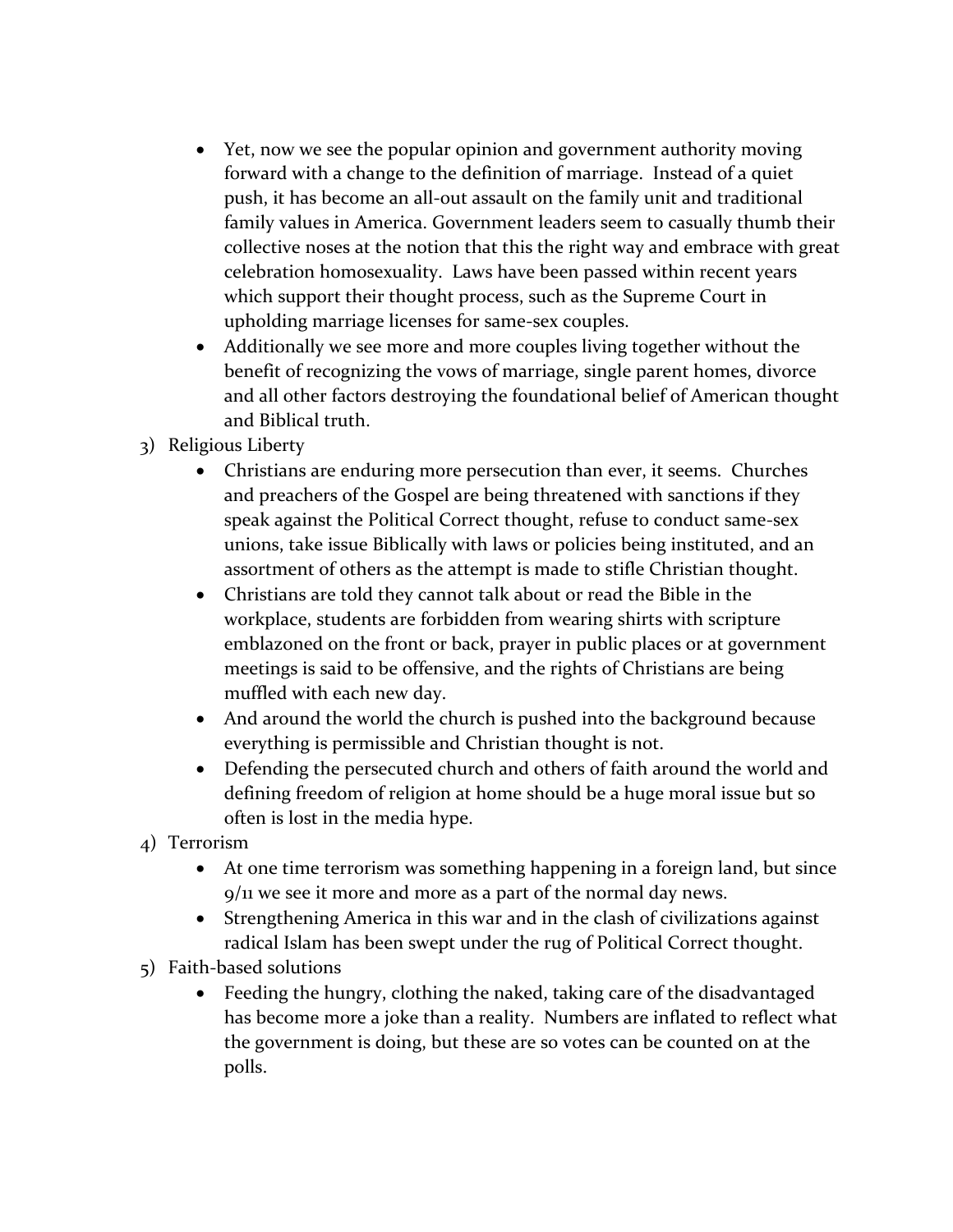- Yet, now we see the popular opinion and government authority moving forward with a change to the definition of marriage. Instead of a quiet push, it has become an all-out assault on the family unit and traditional family values in America. Government leaders seem to casually thumb their collective noses at the notion that this the right way and embrace with great celebration homosexuality. Laws have been passed within recent years which support their thought process, such as the Supreme Court in upholding marriage licenses for same-sex couples.
- Additionally we see more and more couples living together without the benefit of recognizing the vows of marriage, single parent homes, divorce and all other factors destroying the foundational belief of American thought and Biblical truth.
- 3) Religious Liberty
	- Christians are enduring more persecution than ever, it seems. Churches and preachers of the Gospel are being threatened with sanctions if they speak against the Political Correct thought, refuse to conduct same-sex unions, take issue Biblically with laws or policies being instituted, and an assortment of others as the attempt is made to stifle Christian thought.
	- Christians are told they cannot talk about or read the Bible in the workplace, students are forbidden from wearing shirts with scripture emblazoned on the front or back, prayer in public places or at government meetings is said to be offensive, and the rights of Christians are being muffled with each new day.
	- And around the world the church is pushed into the background because everything is permissible and Christian thought is not.
	- Defending the persecuted church and others of faith around the world and defining freedom of religion at home should be a huge moral issue but so often is lost in the media hype.
- 4) Terrorism
	- At one time terrorism was something happening in a foreign land, but since 9/11 we see it more and more as a part of the normal day news.
	- Strengthening America in this war and in the clash of civilizations against radical Islam has been swept under the rug of Political Correct thought.
- 5) Faith-based solutions
	- Feeding the hungry, clothing the naked, taking care of the disadvantaged has become more a joke than a reality. Numbers are inflated to reflect what the government is doing, but these are so votes can be counted on at the polls.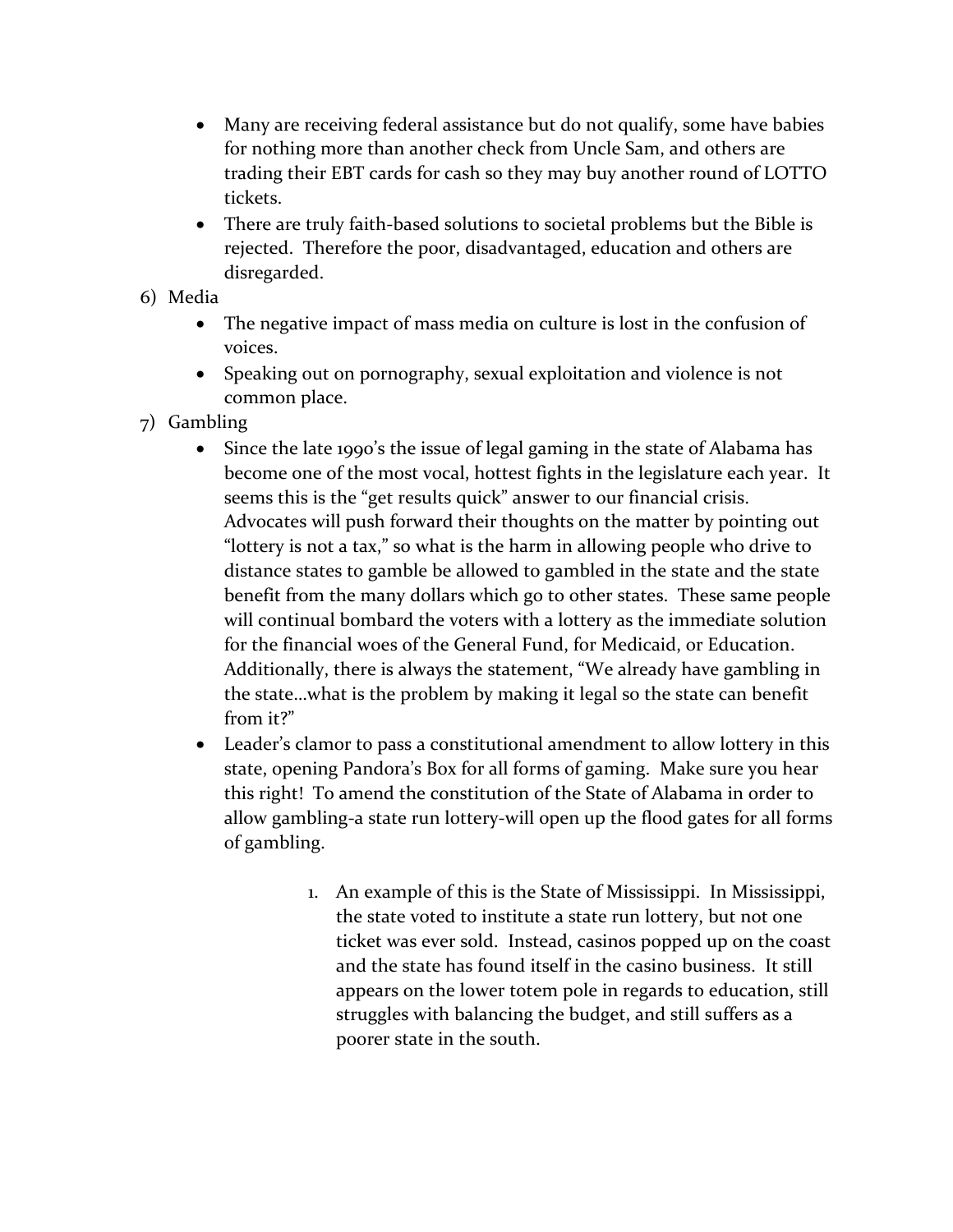- Many are receiving federal assistance but do not qualify, some have babies for nothing more than another check from Uncle Sam, and others are trading their EBT cards for cash so they may buy another round of LOTTO tickets.
- There are truly faith-based solutions to societal problems but the Bible is rejected. Therefore the poor, disadvantaged, education and others are disregarded.
- 6) Media
	- The negative impact of mass media on culture is lost in the confusion of voices.
	- Speaking out on pornography, sexual exploitation and violence is not common place.
- 7) Gambling
	- Since the late 1990's the issue of legal gaming in the state of Alabama has become one of the most vocal, hottest fights in the legislature each year. It seems this is the "get results quick" answer to our financial crisis. Advocates will push forward their thoughts on the matter by pointing out "lottery is not a tax," so what is the harm in allowing people who drive to distance states to gamble be allowed to gambled in the state and the state benefit from the many dollars which go to other states. These same people will continual bombard the voters with a lottery as the immediate solution for the financial woes of the General Fund, for Medicaid, or Education. Additionally, there is always the statement, "We already have gambling in the state…what is the problem by making it legal so the state can benefit from it?"
	- Leader's clamor to pass a constitutional amendment to allow lottery in this state, opening Pandora's Box for all forms of gaming. Make sure you hear this right! To amend the constitution of the State of Alabama in order to allow gambling-a state run lottery-will open up the flood gates for all forms of gambling.
		- 1. An example of this is the State of Mississippi. In Mississippi, the state voted to institute a state run lottery, but not one ticket was ever sold. Instead, casinos popped up on the coast and the state has found itself in the casino business. It still appears on the lower totem pole in regards to education, still struggles with balancing the budget, and still suffers as a poorer state in the south.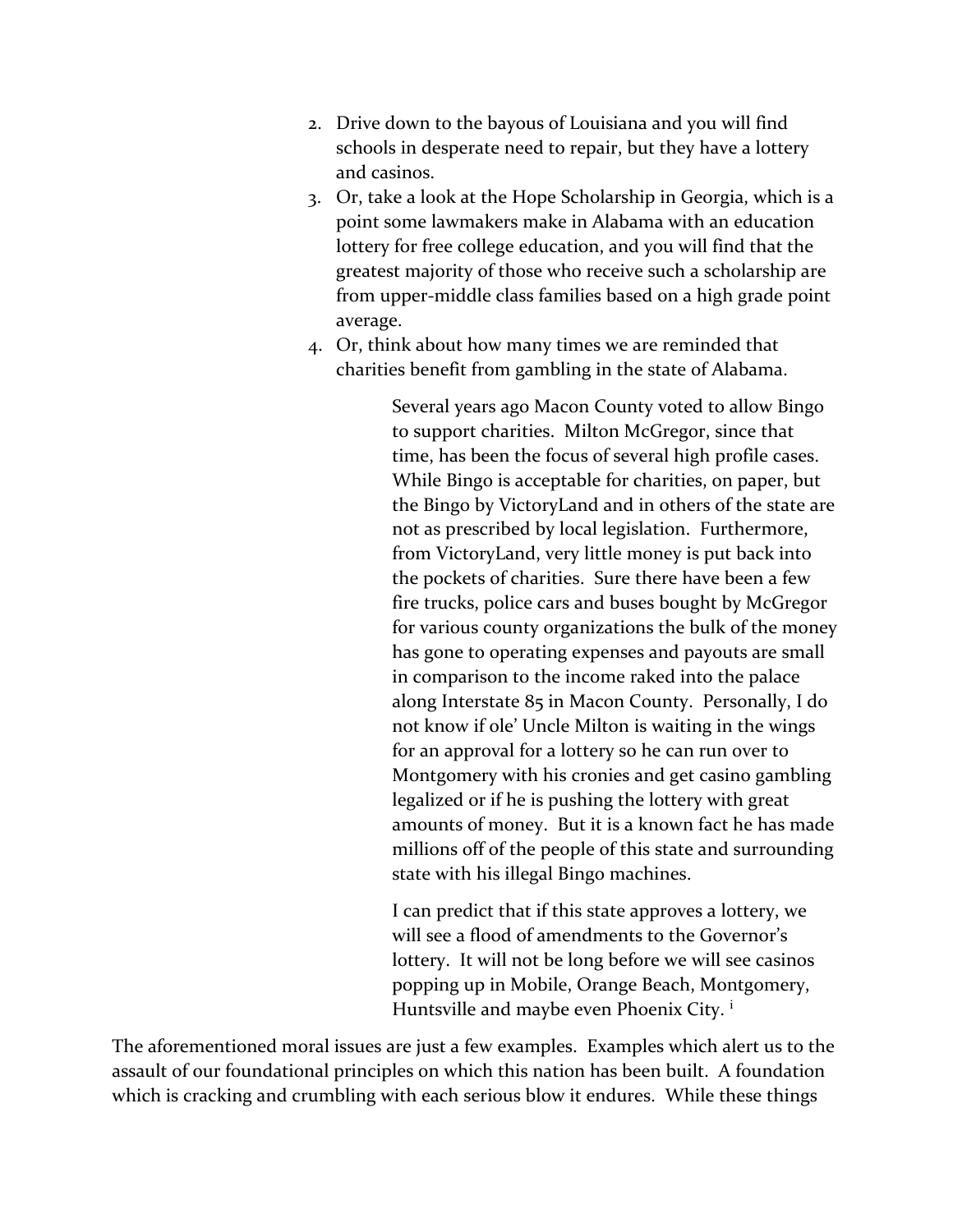- 2. Drive down to the bayous of Louisiana and you will find schools in desperate need to repair, but they have a lottery and casinos.
- 3. Or, take a look at the Hope Scholarship in Georgia, which is a point some lawmakers make in Alabama with an education lottery for free college education, and you will find that the greatest majority of those who receive such a scholarship are from upper-middle class families based on a high grade point average.
- 4. Or, think about how many times we are reminded that charities benefit from gambling in the state of Alabama.

Several years ago Macon County voted to allow Bingo to support charities. Milton McGregor, since that time, has been the focus of several high profile cases. While Bingo is acceptable for charities, on paper, but the Bingo by VictoryLand and in others of the state are not as prescribed by local legislation. Furthermore, from VictoryLand, very little money is put back into the pockets of charities. Sure there have been a few fire trucks, police cars and buses bought by McGregor for various county organizations the bulk of the money has gone to operating expenses and payouts are small in comparison to the income raked into the palace along Interstate 85 in Macon County. Personally, I do not know if ole' Uncle Milton is waiting in the wings for an approval for a lottery so he can run over to Montgomery with his cronies and get casino gambling legalized or if he is pushing the lottery with great amounts of money. But it is a known fact he has made millions off of the people of this state and surrounding state with his illegal Bingo machines.

I can predict that if this state approves a lottery, we will see a flood of amendments to the Governor's lottery. It will not be long before we will see casinos popping up in Mobile, Orange Beach, Montgomery, Huntsville and maybe even Phoenix City.<sup>i</sup>

The aforementioned moral issues are just a few examples. Examples which alert us to the assault of our foundational principles on which this nation has been built. A foundation which is cracking and crumbling with each serious blow it endures. While these things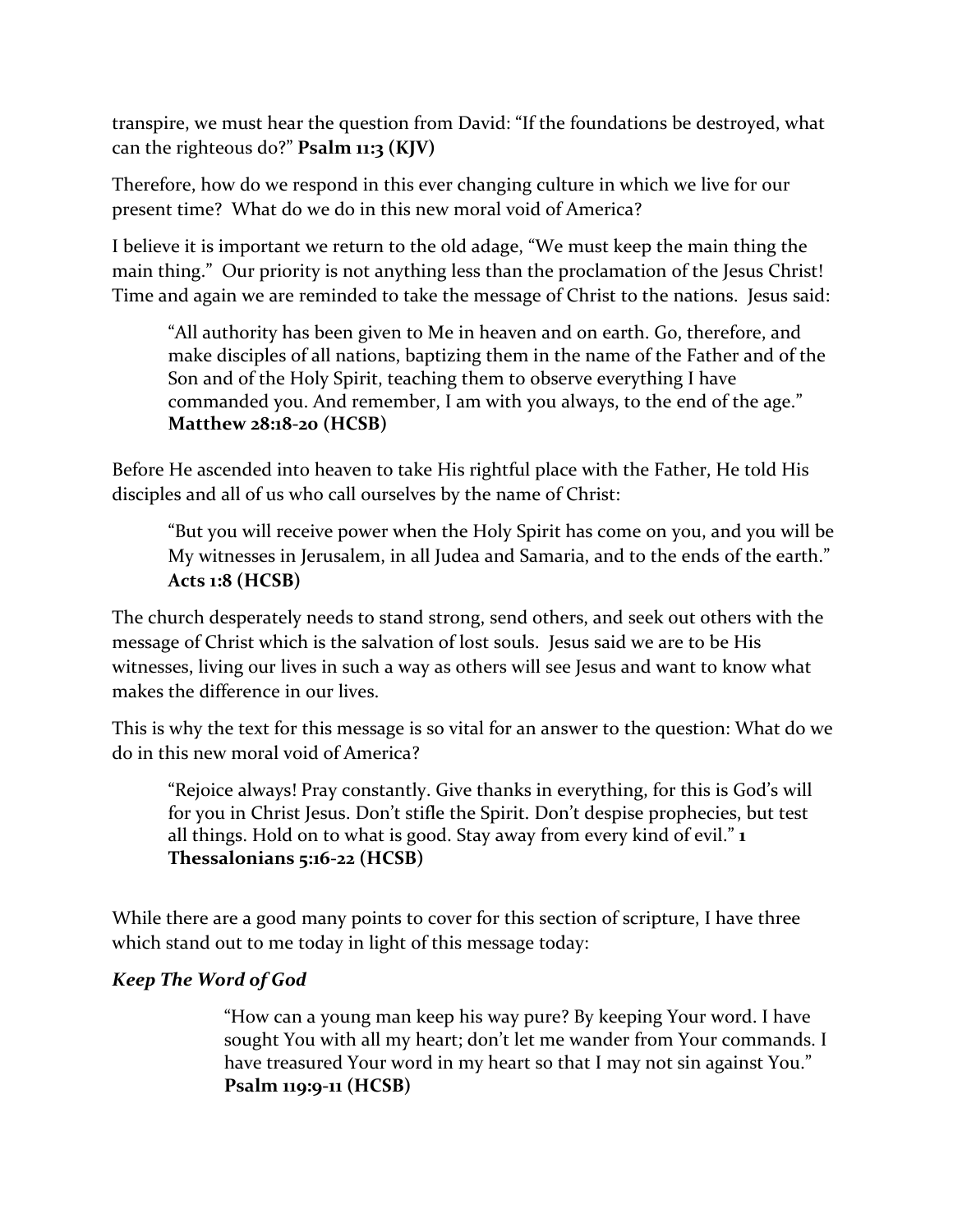transpire, we must hear the question from David: "If the foundations be destroyed, what can the righteous do?" **Psalm 11:3 (KJV)**

Therefore, how do we respond in this ever changing culture in which we live for our present time? What do we do in this new moral void of America?

I believe it is important we return to the old adage, "We must keep the main thing the main thing." Our priority is not anything less than the proclamation of the Jesus Christ! Time and again we are reminded to take the message of Christ to the nations. Jesus said:

"All authority has been given to Me in heaven and on earth. Go, therefore, and make disciples of all nations, baptizing them in the name of the Father and of the Son and of the Holy Spirit, teaching them to observe everything I have commanded you. And remember, I am with you always, to the end of the age." **Matthew 28:18-20 (HCSB)** 

Before He ascended into heaven to take His rightful place with the Father, He told His disciples and all of us who call ourselves by the name of Christ:

"But you will receive power when the Holy Spirit has come on you, and you will be My witnesses in Jerusalem, in all Judea and Samaria, and to the ends of the earth." **Acts 1:8 (HCSB)**

The church desperately needs to stand strong, send others, and seek out others with the message of Christ which is the salvation of lost souls. Jesus said we are to be His witnesses, living our lives in such a way as others will see Jesus and want to know what makes the difference in our lives.

This is why the text for this message is so vital for an answer to the question: What do we do in this new moral void of America?

"Rejoice always! Pray constantly. Give thanks in everything, for this is God's will for you in Christ Jesus. Don't stifle the Spirit. Don't despise prophecies, but test all things. Hold on to what is good. Stay away from every kind of evil." **1 Thessalonians 5:16-22 (HCSB)**

While there are a good many points to cover for this section of scripture, I have three which stand out to me today in light of this message today:

## *Keep The Word of God*

"How can a young man keep his way pure? By keeping Your word. I have sought You with all my heart; don't let me wander from Your commands. I have treasured Your word in my heart so that I may not sin against You." **Psalm 119:9-11 (HCSB)**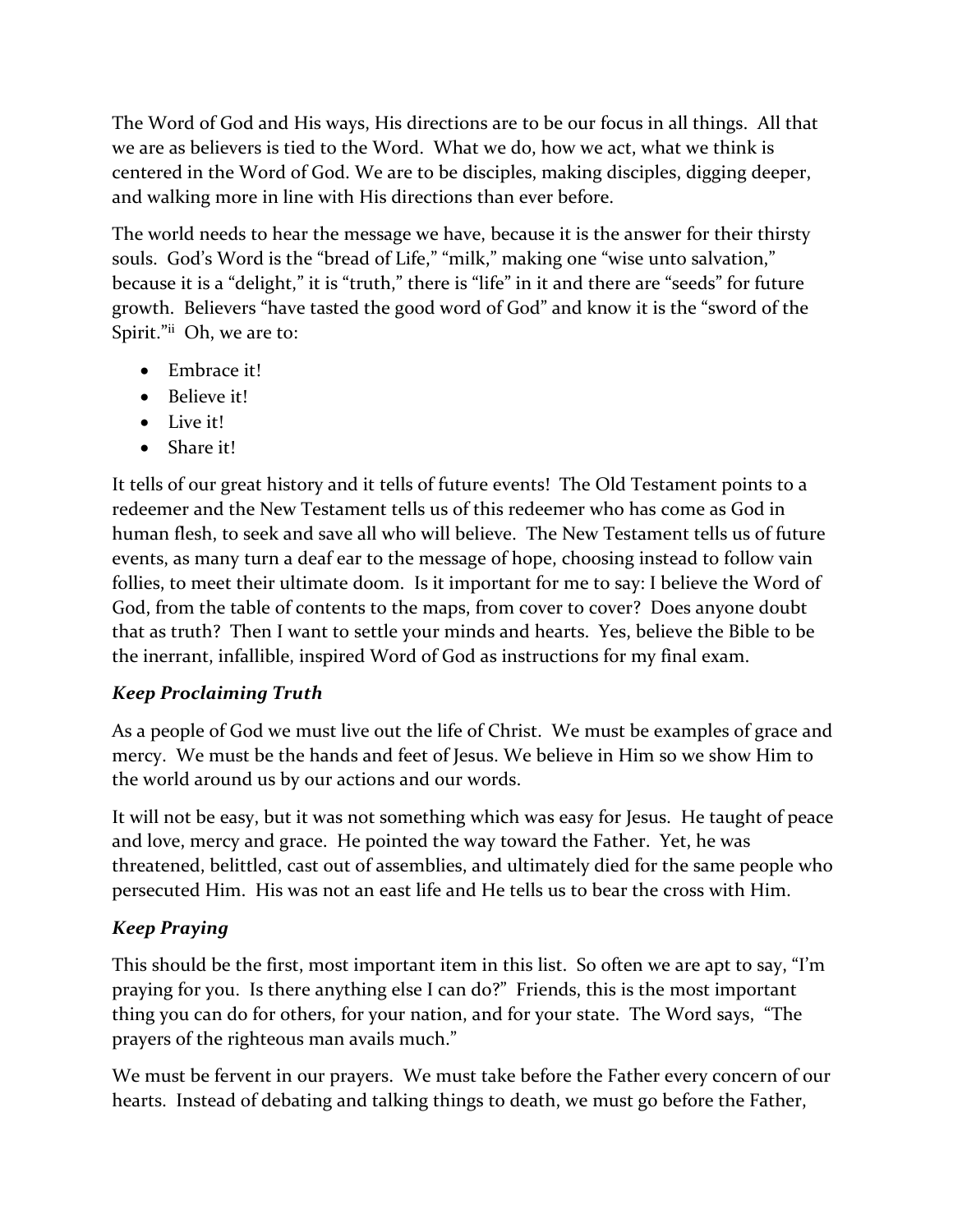The Word of God and His ways, His directions are to be our focus in all things. All that we are as believers is tied to the Word. What we do, how we act, what we think is centered in the Word of God. We are to be disciples, making disciples, digging deeper, and walking more in line with His directions than ever before.

The world needs to hear the message we have, because it is the answer for their thirsty souls. God's Word is the "bread of Life," "milk," making one "wise unto salvation," because it is a "delight," it is "truth," there is "life" in it and there are "seeds" for future growth. Believers "have tasted the good word of God" and know it is the "sword of the Spirit."ii Oh, we are to:

- Embrace it!
- Believe it!
- Live it!
- Share it!

It tells of our great history and it tells of future events! The Old Testament points to a redeemer and the New Testament tells us of this redeemer who has come as God in human flesh, to seek and save all who will believe. The New Testament tells us of future events, as many turn a deaf ear to the message of hope, choosing instead to follow vain follies, to meet their ultimate doom. Is it important for me to say: I believe the Word of God, from the table of contents to the maps, from cover to cover? Does anyone doubt that as truth? Then I want to settle your minds and hearts. Yes, believe the Bible to be the inerrant, infallible, inspired Word of God as instructions for my final exam.

## *Keep Proclaiming Truth*

As a people of God we must live out the life of Christ. We must be examples of grace and mercy. We must be the hands and feet of Jesus. We believe in Him so we show Him to the world around us by our actions and our words.

It will not be easy, but it was not something which was easy for Jesus. He taught of peace and love, mercy and grace. He pointed the way toward the Father. Yet, he was threatened, belittled, cast out of assemblies, and ultimately died for the same people who persecuted Him. His was not an east life and He tells us to bear the cross with Him.

## *Keep Praying*

This should be the first, most important item in this list. So often we are apt to say, "I'm praying for you. Is there anything else I can do?" Friends, this is the most important thing you can do for others, for your nation, and for your state. The Word says, "The prayers of the righteous man avails much."

We must be fervent in our prayers. We must take before the Father every concern of our hearts. Instead of debating and talking things to death, we must go before the Father,